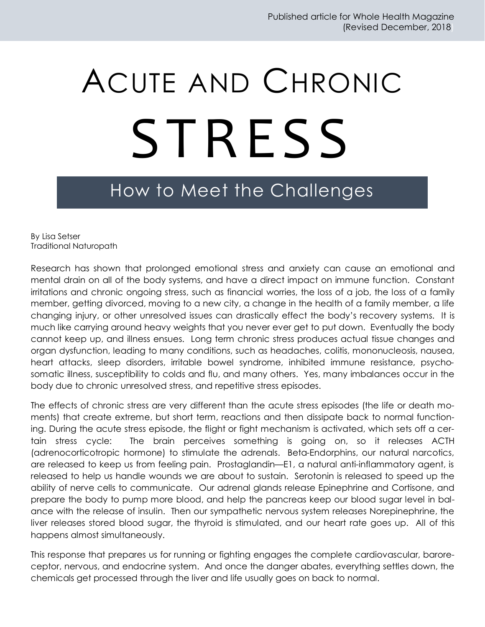## ACUTE AND CHRONIC S TRESS

## How to Meet the Challenges

By Lisa Setser Traditional Naturopath

Research has shown that prolonged emotional stress and anxiety can cause an emotional and mental drain on all of the body systems, and have a direct impact on immune function. Constant irritations and chronic ongoing stress, such as financial worries, the loss of a job, the loss of a family member, getting divorced, moving to a new city, a change in the health of a family member, a life changing injury, or other unresolved issues can drastically effect the body's recovery systems. It is much like carrying around heavy weights that you never ever get to put down. Eventually the body cannot keep up, and illness ensues. Long term chronic stress produces actual tissue changes and organ dysfunction, leading to many conditions, such as headaches, colitis, mononucleosis, nausea, heart attacks, sleep disorders, irritable bowel syndrome, inhibited immune resistance, psychosomatic illness, susceptibility to colds and flu, and many others. Yes, many imbalances occur in the body due to chronic unresolved stress, and repetitive stress episodes.

The effects of chronic stress are very different than the acute stress episodes (the life or death moments) that create extreme, but short term, reactions and then dissipate back to normal functioning. During the acute stress episode, the flight or fight mechanism is activated, which sets off a certain stress cycle: The brain perceives something is going on, so it releases ACTH (adrenocorticotropic hormone) to stimulate the adrenals. Beta-Endorphins, our natural narcotics, are released to keep us from feeling pain. Prostaglandin—E1, a natural anti-inflammatory agent, is released to help us handle wounds we are about to sustain. Serotonin is released to speed up the ability of nerve cells to communicate. Our adrenal glands release Epinephrine and Cortisone, and prepare the body to pump more blood, and help the pancreas keep our blood sugar level in balance with the release of insulin. Then our sympathetic nervous system releases Norepinephrine, the liver releases stored blood sugar, the thyroid is stimulated, and our heart rate goes up. All of this happens almost simultaneously.

This response that prepares us for running or fighting engages the complete cardiovascular, baroreceptor, nervous, and endocrine system. And once the danger abates, everything settles down, the chemicals get processed through the liver and life usually goes on back to normal.